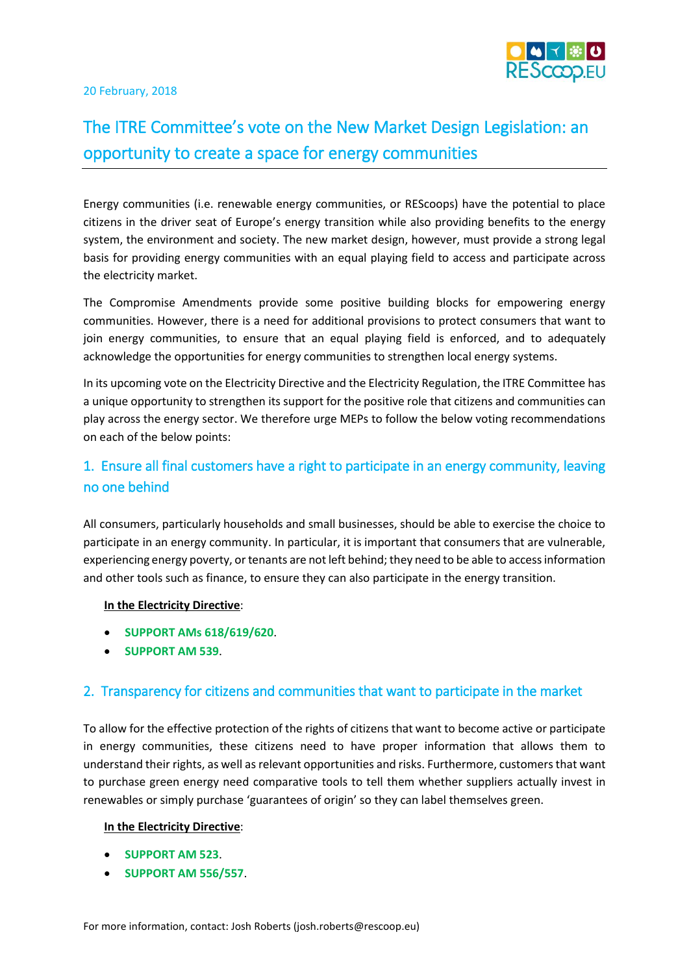

# The ITRE Committee's vote on the New Market Design Legislation: an opportunity to create a space for energy communities

Energy communities (i.e. renewable energy communities, or REScoops) have the potential to place citizens in the driver seat of Europe's energy transition while also providing benefits to the energy system, the environment and society. The new market design, however, must provide a strong legal basis for providing energy communities with an equal playing field to access and participate across the electricity market.

The Compromise Amendments provide some positive building blocks for empowering energy communities. However, there is a need for additional provisions to protect consumers that want to join energy communities, to ensure that an equal playing field is enforced, and to adequately acknowledge the opportunities for energy communities to strengthen local energy systems.

In its upcoming vote on the Electricity Directive and the Electricity Regulation, the ITRE Committee has a unique opportunity to strengthen its support for the positive role that citizens and communities can play across the energy sector. We therefore urge MEPs to follow the below voting recommendations on each of the below points:

### 1. Ensure all final customers have a right to participate in an energy community, leaving no one behind

All consumers, particularly households and small businesses, should be able to exercise the choice to participate in an energy community. In particular, it is important that consumers that are vulnerable, experiencing energy poverty, or tenants are not left behind; they need to be able to access information and other tools such as finance, to ensure they can also participate in the energy transition.

#### **In the Electricity Directive**:

- **SUPPORT AMs 618/619/620**.
- **SUPPORT AM 539**.

#### 2. Transparency for citizens and communities that want to participate in the market

To allow for the effective protection of the rights of citizens that want to become active or participate in energy communities, these citizens need to have proper information that allows them to understand their rights, as well as relevant opportunities and risks. Furthermore, customers that want to purchase green energy need comparative tools to tell them whether suppliers actually invest in renewables or simply purchase 'guarantees of origin' so they can label themselves green.

#### **In the Electricity Directive**:

- **SUPPORT AM 523**.
- **SUPPORT AM 556/557**.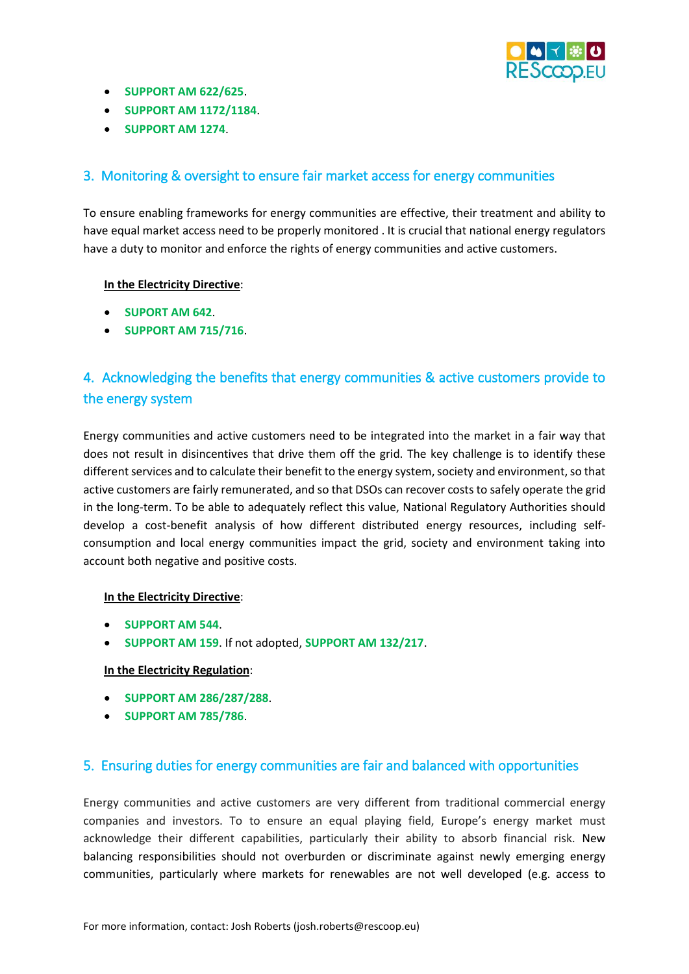

- **SUPPORT AM 622/625**.
- **SUPPORT AM 1172/1184**.
- **SUPPORT AM 1274**.

### 3. Monitoring & oversight to ensure fair market access for energy communities

To ensure enabling frameworks for energy communities are effective, their treatment and ability to have equal market access need to be properly monitored . It is crucial that national energy regulators have a duty to monitor and enforce the rights of energy communities and active customers.

#### **In the Electricity Directive**:

- **SUPORT AM 642**.
- **SUPPORT AM 715/716**.

# 4. Acknowledging the benefits that energy communities & active customers provide to the energy system

Energy communities and active customers need to be integrated into the market in a fair way that does not result in disincentives that drive them off the grid. The key challenge is to identify these different services and to calculate their benefit to the energy system, society and environment, so that active customers are fairly remunerated, and so that DSOs can recover costs to safely operate the grid in the long-term. To be able to adequately reflect this value, National Regulatory Authorities should develop a cost-benefit analysis of how different distributed energy resources, including selfconsumption and local energy communities impact the grid, society and environment taking into account both negative and positive costs.

#### **In the Electricity Directive**:

- **SUPPORT AM 544**.
- **SUPPORT AM 159**. If not adopted, **SUPPORT AM 132/217**.

#### **In the Electricity Regulation**:

- **SUPPORT AM 286/287/288**.
- **SUPPORT AM 785/786**.

### 5. Ensuring duties for energy communities are fair and balanced with opportunities

Energy communities and active customers are very different from traditional commercial energy companies and investors. To to ensure an equal playing field, Europe's energy market must acknowledge their different capabilities, particularly their ability to absorb financial risk. New balancing responsibilities should not overburden or discriminate against newly emerging energy communities, particularly where markets for renewables are not well developed (e.g. access to